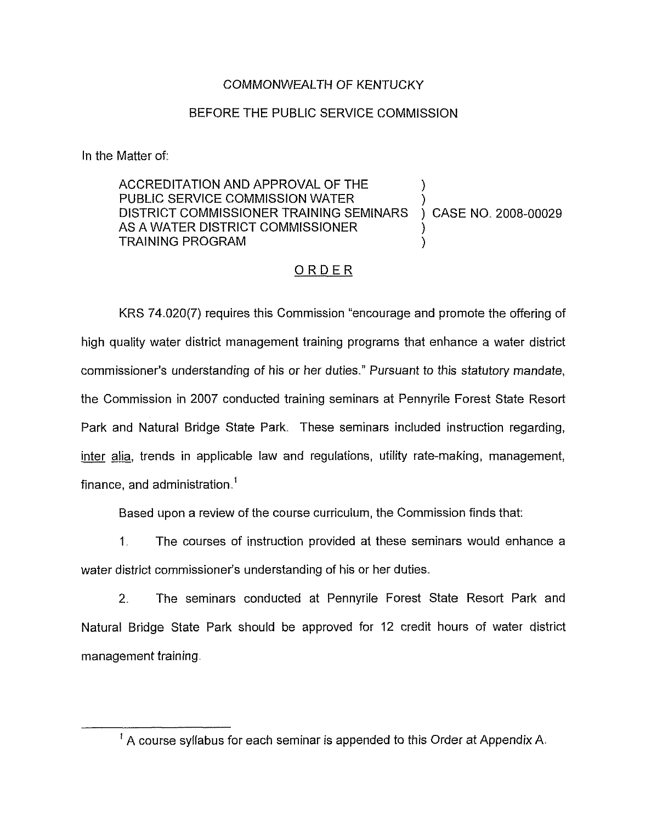### COMMONWEALTH OF KENTUCKY

#### BEFORE THE PUBLIC SERVICE COMMISSION

In the Matter of:

ACCREDITATION AND APPROVAL OF THE PUBLIC SERVICE COMMISSION WATER DISTRICT COMMISSIONER TRAINING SEMINARS AS A WATER DISTRICT COMMISSIONER TRAINING PROGRAM ) ) ) CASE NO. 2008-00029 ) )

### ORDER

KRS 74.020(7) requires this Commission "encourage and promote the offering of high quality water district management training programs that enhance a water district commissioner's understanding of his or her duties." Pursuant to this statutory mandate, the Commission in 2007 conducted training seminars at Pennyrile Forest State Resort Park and Natural Bridge State Park. These seminars included instruction regarding, inter alia, trends in applicable law and regulations, utility rate-making, management, finance, and administration.<sup>1</sup>

Based upon a review of the course curriculum, the Commission finds that:

1, The courses of instruction provided at these seminars would enhance a water district commissioner's understanding of his or her duties.

2. The seminars conducted at Pennyrile Forest State Resort Park and Natural Bridge State Park should be approved for 12 credit hours of water district management training.

 $^{\prime}$  A course syllabus for each seminar is appended to this Order at Appendix A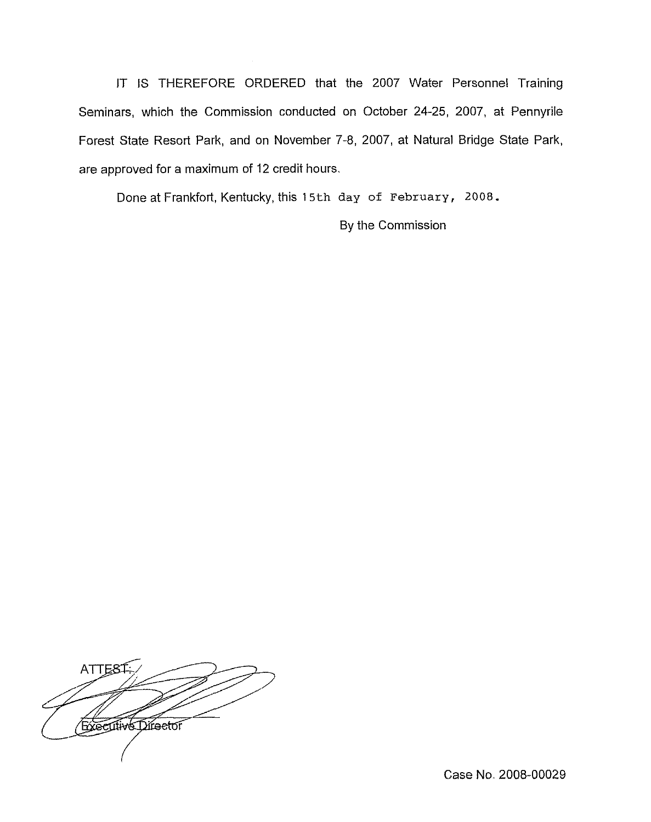IT IS THEREFORE ORDERED that the 2007 Water Personnel Training Seminars, which the Commission conducted on October 24-25, 2007, at Pennyrile Forest State Resort Park, and on November 7-8, 2007, at Natural Bridge State Park, are approved for a maximum of 12 credit hours.

Done at Frankfort, Kentucky, this 15th day of February, 2008.

By the Commission

**ATTEST: Executive Director** 

Case No. 2008-00029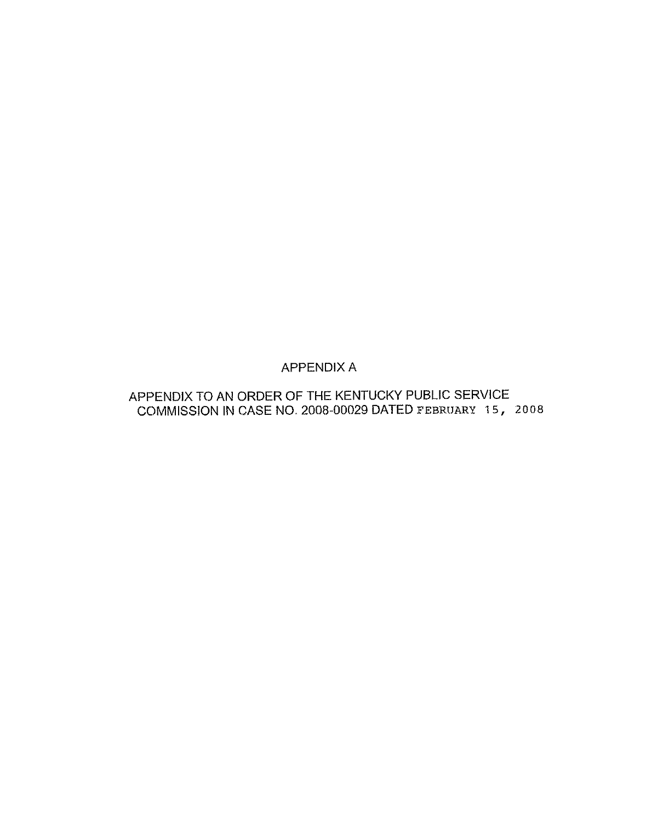## APPENDIX A

# APPENDIX TO AN ORDER OF THE KENTUCKY PUBLIC SERVICE COMMISSION IN CASE NO. 2008-00029 DATED FEBRUARY 15, 2008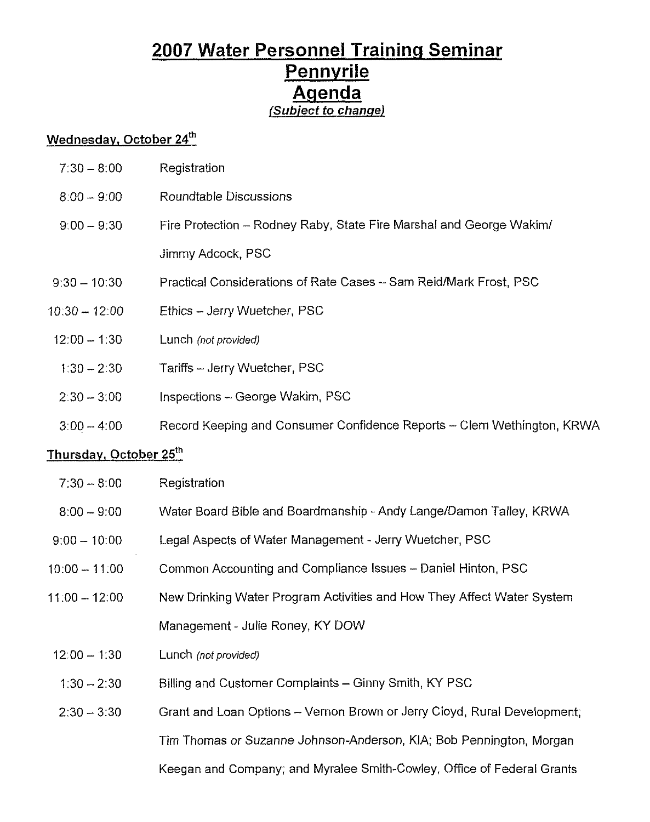# 2007 Water Personnel Training Seminar Pennvrile Agenda (Subject to change)

## Wednesday, October 24th

| $7:30 - 8:00$          | Registration                                                           |
|------------------------|------------------------------------------------------------------------|
| $8:00 - 9:00$          | Roundtable Discussions                                                 |
| $9:00 - 9:30$          | Fire Protection - Rodney Raby, State Fire Marshal and George Wakim/    |
|                        | Jimmy Adcock, PSC                                                      |
| $9:30 - 10:30$         | Practical Considerations of Rate Cases - Sam Reid/Mark Frost, PSC      |
| $10:30 - 12:00$        | Ethics - Jerry Wuetcher, PSC                                           |
| $12:00 - 1:30$         | Lunch (not provided)                                                   |
| $1:30 - 2:30$          | Tariffs - Jerry Wuetcher, PSC                                          |
| $2:30 - 3:00$          | Inspections - George Wakim, PSC                                        |
| $3:00 - 4:00$          | Record Keeping and Consumer Confidence Reports - Clem Wethington, KRWA |
| Thursday, October 25th |                                                                        |
| $7:30 - 8:00$          | Registration                                                           |
| $8:00 - 9:00$          | Water Board Bible and Boardmanship - Andy Lange/Damon Talley, KRWA     |

- 9:00—10:00 Legal Aspects of Water Management - Jerry Wuetcher, PSC
- 10:QO —11.00 Common Accounting and Compliance Issues —Daniel Hinton, PSC
- 11:00- 12:00 New Drinking Water Program Activities and How They Affect Water System Management- Julie Roney, KY DOW
- $12:00 1:30$ Lunch (not provided)
- 1.30—2:30 Billing and Customer Complaints —Ginny Smith, KY PSC
- 2:30—3:30 Grant and Loan Options —Vernon Brown or Jerry Cloyd, Rural Development; Tim Thomas or Suzanne Johnson-Anderson, KIA; Bob Pennington, Morgan Keegan and Company; and Myralee Smith-Cowley, Office of Federal Grants